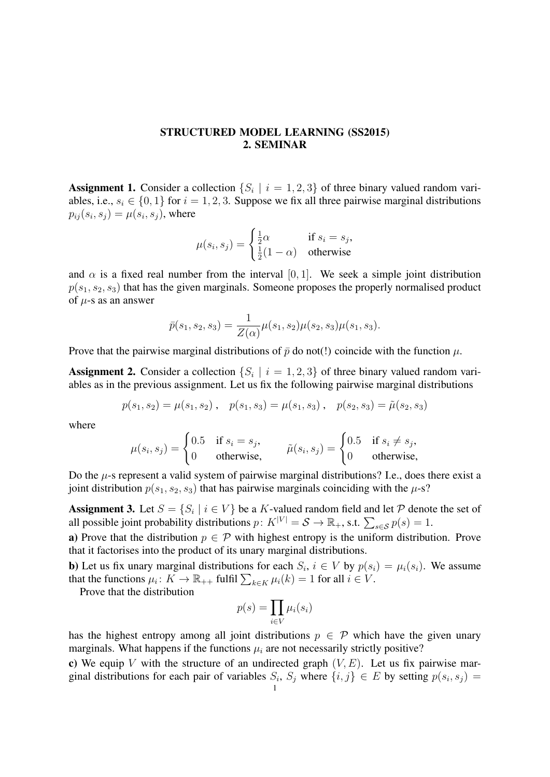## STRUCTURED MODEL LEARNING (SS2015) 2. SEMINAR

**Assignment 1.** Consider a collection  $\{S_i \mid i = 1, 2, 3\}$  of three binary valued random variables, i.e.,  $s_i \in \{0, 1\}$  for  $i = 1, 2, 3$ . Suppose we fix all three pairwise marginal distributions  $p_{ij}(s_i, s_j) = \mu(s_i, s_j)$ , where

$$
\mu(s_i, s_j) = \begin{cases} \frac{1}{2}\alpha & \text{if } s_i = s_j, \\ \frac{1}{2}(1-\alpha) & \text{otherwise} \end{cases}
$$

and  $\alpha$  is a fixed real number from the interval [0, 1]. We seek a simple joint distribution  $p(s_1, s_2, s_3)$  that has the given marginals. Someone proposes the properly normalised product of  $\mu$ -s as an answer

$$
\bar{p}(s_1, s_2, s_3) = \frac{1}{Z(\alpha)}\mu(s_1, s_2)\mu(s_2, s_3)\mu(s_1, s_3).
$$

Prove that the pairwise marginal distributions of  $\bar{p}$  do not(!) coincide with the function  $\mu$ .

**Assignment 2.** Consider a collection  $\{S_i \mid i = 1, 2, 3\}$  of three binary valued random variables as in the previous assignment. Let us fix the following pairwise marginal distributions

$$
p(s_1, s_2) = \mu(s_1, s_2), \quad p(s_1, s_3) = \mu(s_1, s_3), \quad p(s_2, s_3) = \tilde{\mu}(s_2, s_3)
$$

where

$$
\mu(s_i, s_j) = \begin{cases}\n0.5 & \text{if } s_i = s_j, \\
0 & \text{otherwise,} \n\end{cases} \qquad \tilde{\mu}(s_i, s_j) = \begin{cases}\n0.5 & \text{if } s_i \neq s_j, \\
0 & \text{otherwise,} \n\end{cases}
$$

Do the  $\mu$ -s represent a valid system of pairwise marginal distributions? I.e., does there exist a joint distribution  $p(s_1, s_2, s_3)$  that has pairwise marginals coinciding with the  $\mu$ -s?

**Assignment 3.** Let  $S = \{S_i \mid i \in V\}$  be a K-valued random field and let P denote the set of all possible joint probability distributions  $p: K^{|V|} = S \to \mathbb{R}_+$ , s.t.  $\sum_{s \in S} p(s) = 1$ .

a) Prove that the distribution  $p \in \mathcal{P}$  with highest entropy is the uniform distribution. Prove that it factorises into the product of its unary marginal distributions.

**b**) Let us fix unary marginal distributions for each  $S_i$ ,  $i \in V$  by  $p(s_i) = \mu_i(s_i)$ . We assume that the functions  $\mu_i: K \to \mathbb{R}_{++}$  fulfil  $\sum_{k \in K} \mu_i(k) = 1$  for all  $i \in V$ .

Prove that the distribution

$$
p(s) = \prod_{i \in V} \mu_i(s_i)
$$

has the highest entropy among all joint distributions  $p \in \mathcal{P}$  which have the given unary marginals. What happens if the functions  $\mu_i$  are not necessarily strictly positive?

c) We equip V with the structure of an undirected graph  $(V, E)$ . Let us fix pairwise marginal distributions for each pair of variables  $S_i$ ,  $S_j$  where  $\{i, j\} \in E$  by setting  $p(s_i, s_j) =$